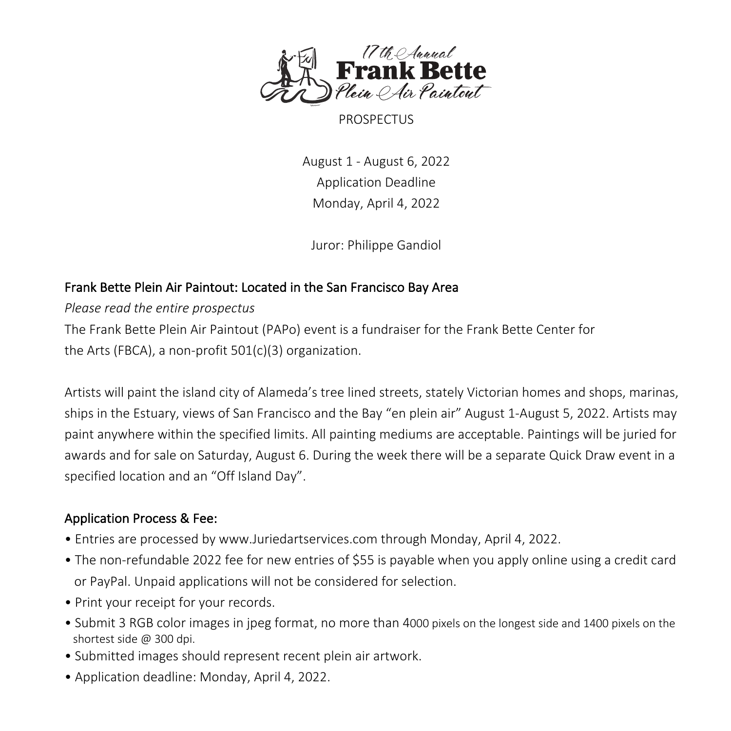

PROSPECTUS

August 1 - August 6, 2022 Application Deadline Monday, April 4, 2022

Juror: Philippe Gandiol

#### Frank Bette Plein Air Paintout: Located in the San Francisco Bay Area

*Please read the entire prospectus*

The Frank Bette Plein Air Paintout (PAPo) event is a fundraiser for the Frank Bette Center for the Arts (FBCA), a non-profit 501(c)(3) organization.

Artists will paint the island city of Alameda's tree lined streets, stately Victorian homes and shops, marinas, ships in the Estuary, views of San Francisco and the Bay "en plein air" August 1-August 5, 2022. Artists may paint anywhere within the specified limits. All painting mediums are acceptable. Paintings will be juried for awards and for sale on Saturday, August 6. During the week there will be a separate Quick Draw event in a specified location and an "Off Island Day".

# Application Process & Fee:

- Entries are processed by www.Juriedartservices.com through Monday, April 4, 2022.
- The non-refundable 2022 fee for new entries of \$55 is payable when you apply online using a credit card or PayPal. Unpaid applications will not be considered for selection.
- Print your receipt for your records.
- Submit 3 RGB color images in jpeg format, no more than 4000 pixels on the longest side and 1400 pixels on the shortest side @ 300 dpi.
- Submitted images should represent recent plein air artwork.
- Application deadline: Monday, April 4, 2022.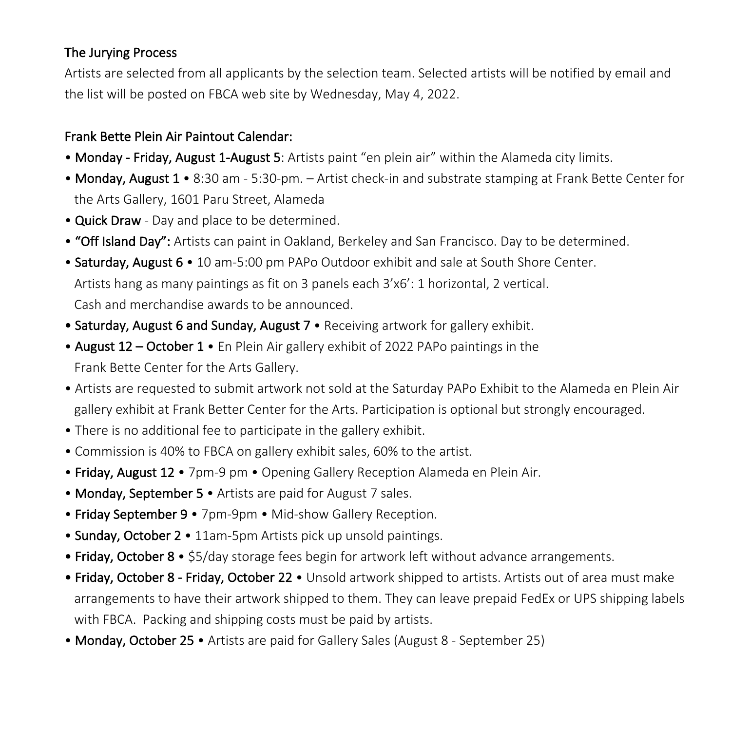### The Jurying Process

Artists are selected from all applicants by the selection team. Selected artists will be notified by email and the list will be posted on FBCA web site by Wednesday, May 4, 2022.

### Frank Bette Plein Air Paintout Calendar:

- Monday Friday, August 1-August 5: Artists paint "en plein air" within the Alameda city limits.
- Monday, August 1 8:30 am 5:30-pm. Artist check-in and substrate stamping at Frank Bette Center for the Arts Gallery, 1601 Paru Street, Alameda
- Quick Draw Day and place to be determined.
- "Off Island Day": Artists can paint in Oakland, Berkeley and San Francisco. Day to be determined.
- Saturday, August 6 10 am-5:00 pm PAPo Outdoor exhibit and sale at South Shore Center. Artists hang as many paintings as fit on 3 panels each 3'x6': 1 horizontal, 2 vertical. Cash and merchandise awards to be announced.
- Saturday, August 6 and Sunday, August 7 Receiving artwork for gallery exhibit.
- August 12 October 1 En Plein Air gallery exhibit of 2022 PAPo paintings in the Frank Bette Center for the Arts Gallery.
- Artists are requested to submit artwork not sold at the Saturday PAPo Exhibit to the Alameda en Plein Air gallery exhibit at Frank Better Center for the Arts. Participation is optional but strongly encouraged.
- There is no additional fee to participate in the gallery exhibit.
- Commission is 40% to FBCA on gallery exhibit sales, 60% to the artist.
- Friday, August 12 7pm-9 pm Opening Gallery Reception Alameda en Plein Air.
- Monday, September 5 Artists are paid for August 7 sales.
- Friday September 9 7pm-9pm Mid-show Gallery Reception.
- Sunday, October 2 11am-5pm Artists pick up unsold paintings.
- Friday, October 8 \$5/day storage fees begin for artwork left without advance arrangements.
- Friday, October 8 Friday, October 22 Unsold artwork shipped to artists. Artists out of area must make arrangements to have their artwork shipped to them. They can leave prepaid FedEx or UPS shipping labels with FBCA. Packing and shipping costs must be paid by artists.
- Monday, October 25 Artists are paid for Gallery Sales (August 8 September 25)